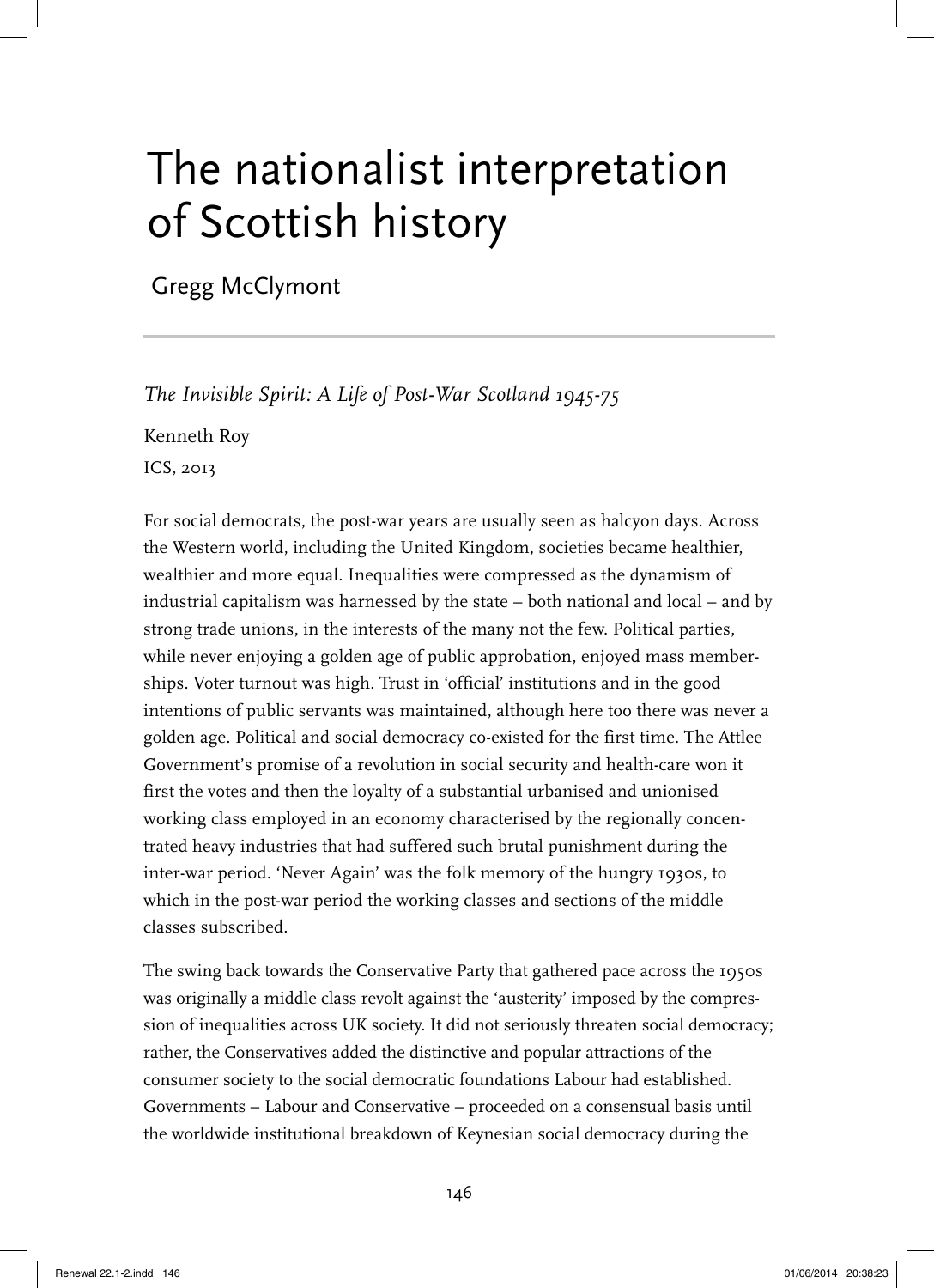# The nationalist interpretation of Scottish history

Gregg McClymont

*The Invisible Spirit: A Life of Post-War Scotland 1945-75*

Kenneth Roy

ICS, 2013

For social democrats, the post-war years are usually seen as halcyon days. Across the Western world, including the United Kingdom, societies became healthier, wealthier and more equal. Inequalities were compressed as the dynamism of industrial capitalism was harnessed by the state – both national and local – and by strong trade unions, in the interests of the many not the few. Political parties, while never enjoying a golden age of public approbation, enjoyed mass memberships. Voter turnout was high. Trust in 'official' institutions and in the good intentions of public servants was maintained, although here too there was never a golden age. Political and social democracy co-existed for the first time. The Attlee Government's promise of a revolution in social security and health-care won it first the votes and then the loyalty of a substantial urbanised and unionised working class employed in an economy characterised by the regionally concentrated heavy industries that had suffered such brutal punishment during the inter-war period. 'Never Again' was the folk memory of the hungry 1930s, to which in the post-war period the working classes and sections of the middle classes subscribed.

The swing back towards the Conservative Party that gathered pace across the 1950s was originally a middle class revolt against the 'austerity' imposed by the compression of inequalities across UK society. It did not seriously threaten social democracy; rather, the Conservatives added the distinctive and popular attractions of the consumer society to the social democratic foundations Labour had established. Governments – Labour and Conservative – proceeded on a consensual basis until the worldwide institutional breakdown of Keynesian social democracy during the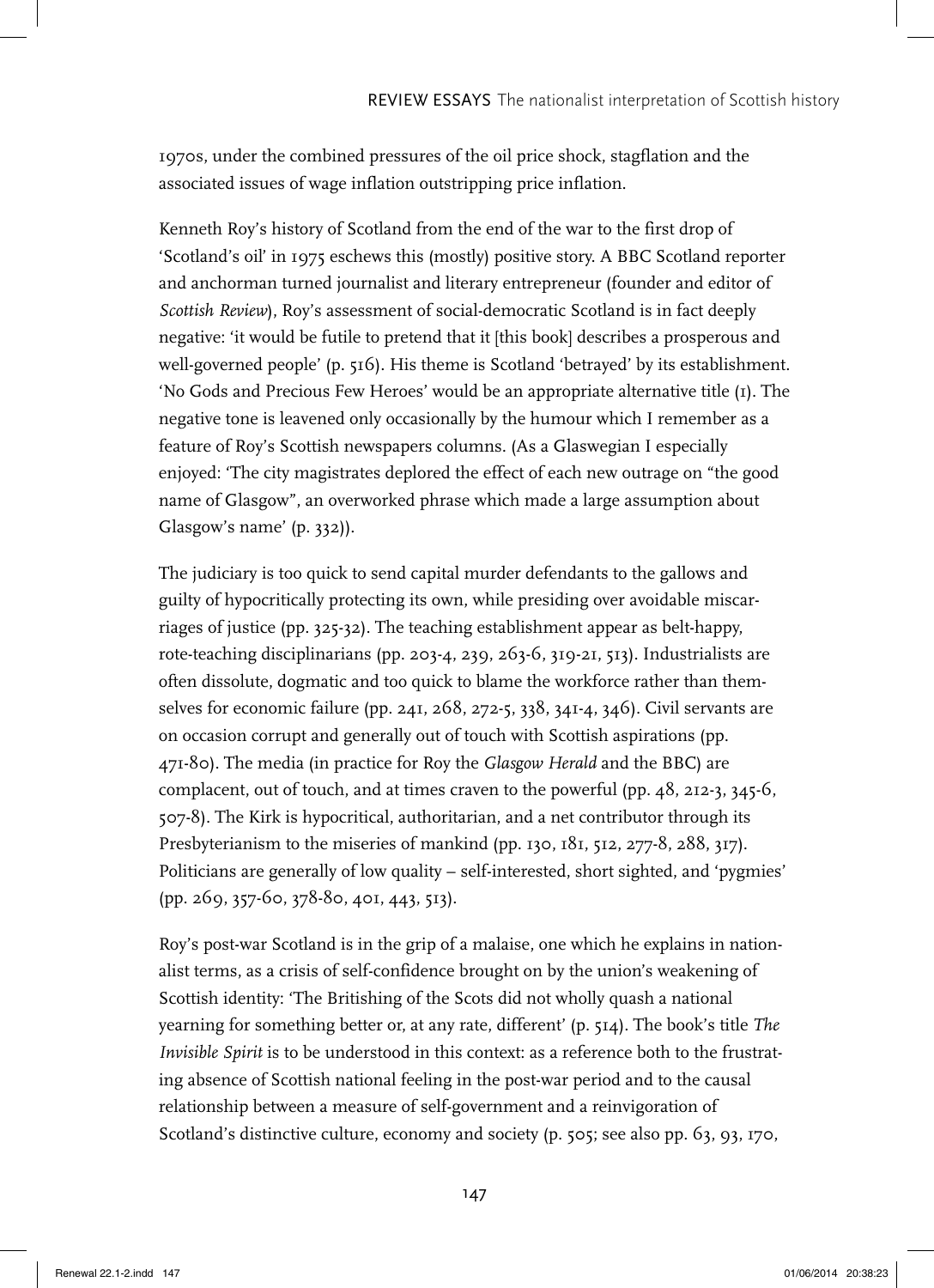1970s, under the combined pressures of the oil price shock, stagflation and the associated issues of wage inflation outstripping price inflation.

Kenneth Roy's history of Scotland from the end of the war to the first drop of 'Scotland's oil' in 1975 eschews this (mostly) positive story. A BBC Scotland reporter and anchorman turned journalist and literary entrepreneur (founder and editor of *Scottish Review*), Roy's assessment of social-democratic Scotland is in fact deeply negative: 'it would be futile to pretend that it [this book] describes a prosperous and well-governed people' (p. 516). His theme is Scotland 'betrayed' by its establishment. 'No Gods and Precious Few Heroes' would be an appropriate alternative title (1). The negative tone is leavened only occasionally by the humour which I remember as a feature of Roy's Scottish newspapers columns. (As a Glaswegian I especially enjoyed: 'The city magistrates deplored the effect of each new outrage on "the good name of Glasgow", an overworked phrase which made a large assumption about Glasgow's name' (p. 332)).

The judiciary is too quick to send capital murder defendants to the gallows and guilty of hypocritically protecting its own, while presiding over avoidable miscarriages of justice (pp. 325-32). The teaching establishment appear as belt-happy, rote-teaching disciplinarians (pp. 203-4, 239, 263-6, 319-21, 513). Industrialists are often dissolute, dogmatic and too quick to blame the workforce rather than themselves for economic failure (pp. 241, 268, 272-5, 338, 341-4, 346). Civil servants are on occasion corrupt and generally out of touch with Scottish aspirations (pp. 471-80). The media (in practice for Roy the *Glasgow Herald* and the BBC) are complacent, out of touch, and at times craven to the powerful (pp. 48, 212-3, 345-6, 507-8). The Kirk is hypocritical, authoritarian, and a net contributor through its Presbyterianism to the miseries of mankind (pp. 130, 181, 512, 277-8, 288, 317). Politicians are generally of low quality – self-interested, short sighted, and 'pygmies' (pp. 269, 357-60, 378-80, 401, 443, 513).

Roy's post-war Scotland is in the grip of a malaise, one which he explains in nationalist terms, as a crisis of self-confidence brought on by the union's weakening of Scottish identity: 'The Britishing of the Scots did not wholly quash a national yearning for something better or, at any rate, different' (p. 514). The book's title *The Invisible Spirit* is to be understood in this context: as a reference both to the frustrating absence of Scottish national feeling in the post-war period and to the causal relationship between a measure of self-government and a reinvigoration of Scotland's distinctive culture, economy and society (p. 505; see also pp. 63, 93, 170,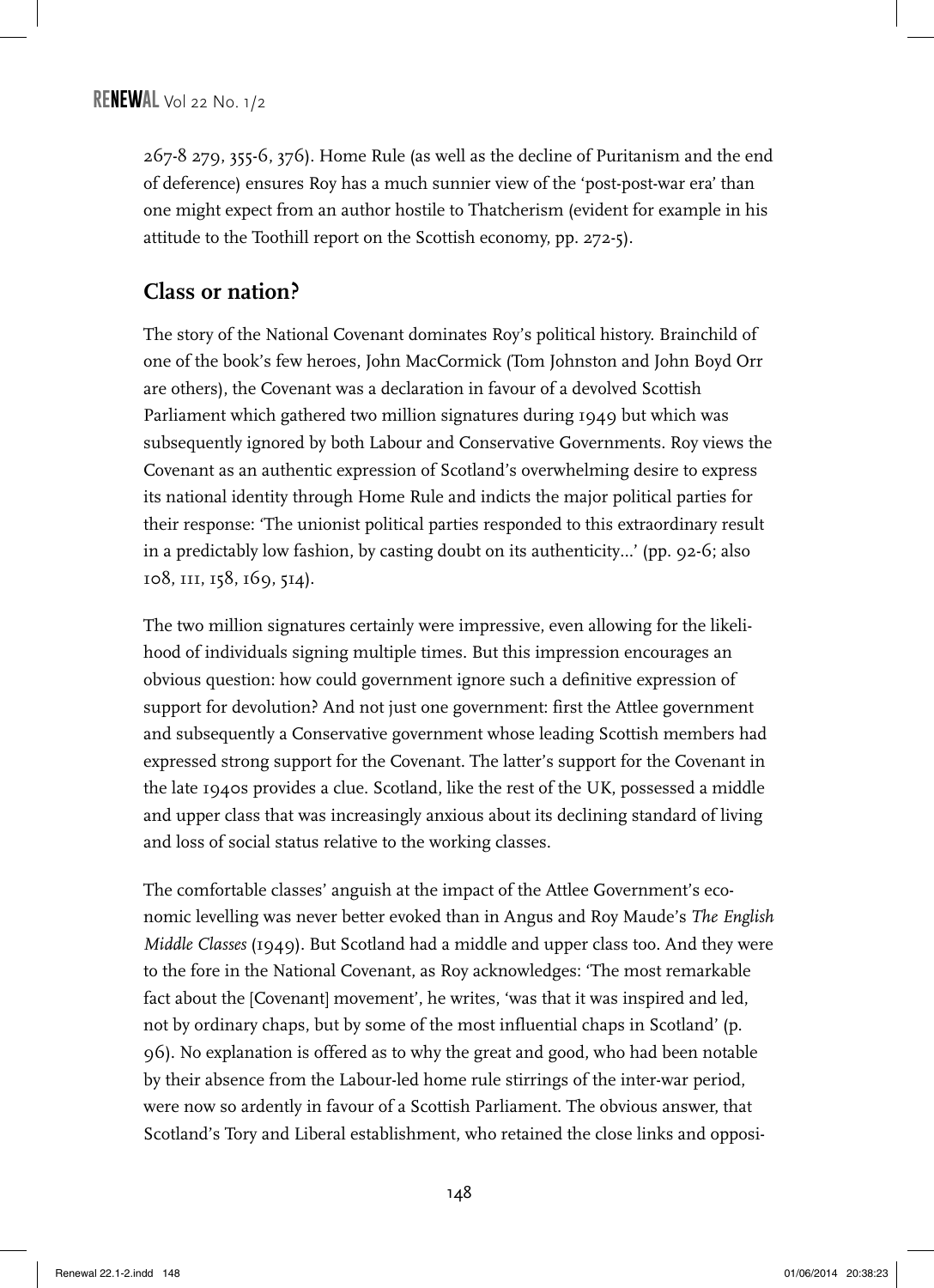267-8 279, 355-6, 376). Home Rule (as well as the decline of Puritanism and the end of deference) ensures Roy has a much sunnier view of the 'post-post-war era' than one might expect from an author hostile to Thatcherism (evident for example in his attitude to the Toothill report on the Scottish economy, pp. 272-5).

#### **Class or nation?**

The story of the National Covenant dominates Roy's political history. Brainchild of one of the book's few heroes, John MacCormick (Tom Johnston and John Boyd Orr are others), the Covenant was a declaration in favour of a devolved Scottish Parliament which gathered two million signatures during 1949 but which was subsequently ignored by both Labour and Conservative Governments. Roy views the Covenant as an authentic expression of Scotland's overwhelming desire to express its national identity through Home Rule and indicts the major political parties for their response: 'The unionist political parties responded to this extraordinary result in a predictably low fashion, by casting doubt on its authenticity…' (pp. 92-6; also 108, 111, 158, 169, 514).

The two million signatures certainly were impressive, even allowing for the likelihood of individuals signing multiple times. But this impression encourages an obvious question: how could government ignore such a definitive expression of support for devolution? And not just one government: first the Attlee government and subsequently a Conservative government whose leading Scottish members had expressed strong support for the Covenant. The latter's support for the Covenant in the late 1940s provides a clue. Scotland, like the rest of the UK, possessed a middle and upper class that was increasingly anxious about its declining standard of living and loss of social status relative to the working classes.

The comfortable classes' anguish at the impact of the Attlee Government's economic levelling was never better evoked than in Angus and Roy Maude's *The English Middle Classes* (1949). But Scotland had a middle and upper class too. And they were to the fore in the National Covenant, as Roy acknowledges: 'The most remarkable fact about the [Covenant] movement', he writes, 'was that it was inspired and led, not by ordinary chaps, but by some of the most influential chaps in Scotland' (p. 96). No explanation is offered as to why the great and good, who had been notable by their absence from the Labour-led home rule stirrings of the inter-war period, were now so ardently in favour of a Scottish Parliament. The obvious answer, that Scotland's Tory and Liberal establishment, who retained the close links and opposi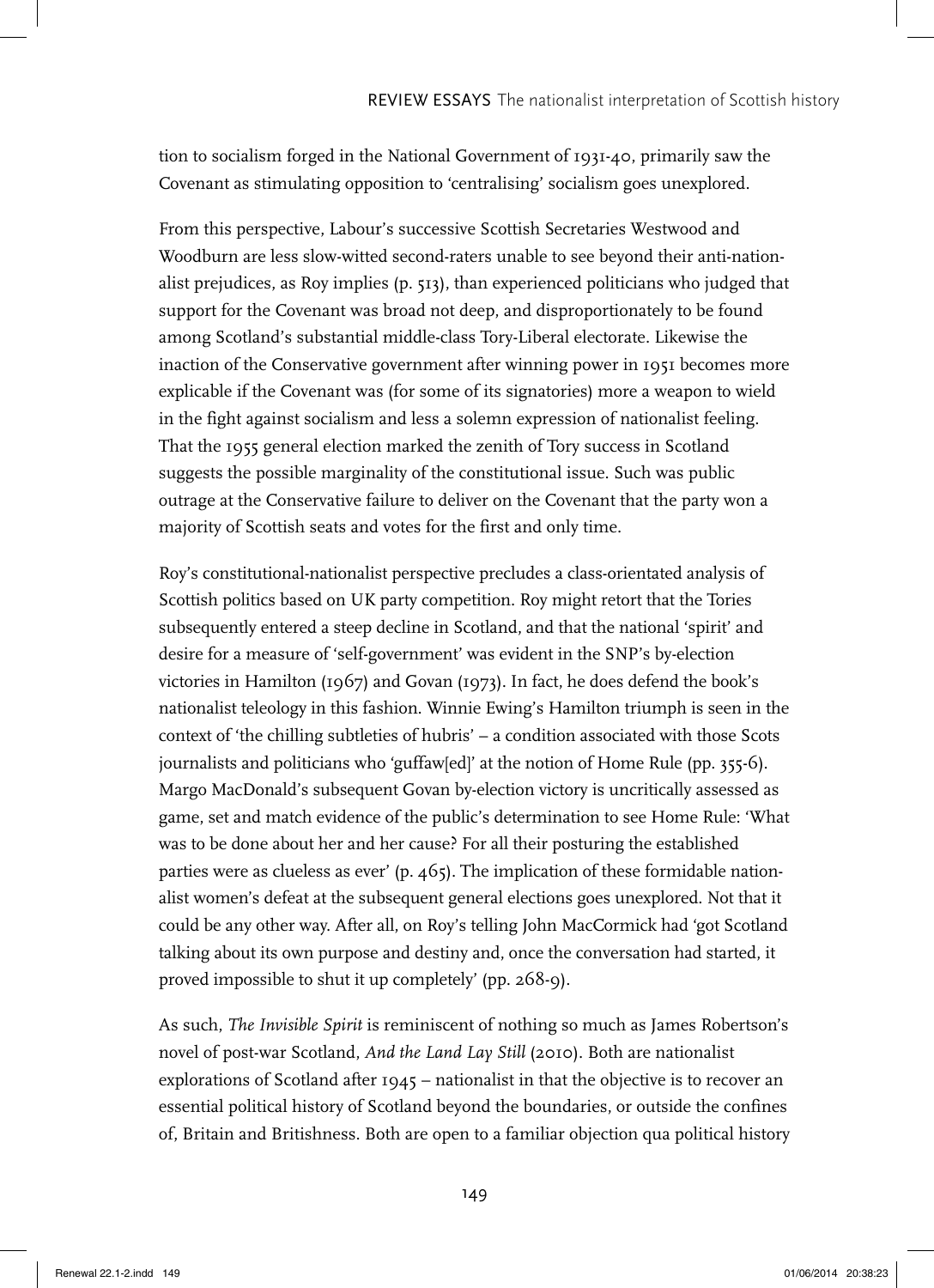tion to socialism forged in the National Government of 1931-40, primarily saw the Covenant as stimulating opposition to 'centralising' socialism goes unexplored.

From this perspective, Labour's successive Scottish Secretaries Westwood and Woodburn are less slow-witted second-raters unable to see beyond their anti-nationalist prejudices, as Roy implies (p. 513), than experienced politicians who judged that support for the Covenant was broad not deep, and disproportionately to be found among Scotland's substantial middle-class Tory-Liberal electorate. Likewise the inaction of the Conservative government after winning power in 1951 becomes more explicable if the Covenant was (for some of its signatories) more a weapon to wield in the fight against socialism and less a solemn expression of nationalist feeling. That the 1955 general election marked the zenith of Tory success in Scotland suggests the possible marginality of the constitutional issue. Such was public outrage at the Conservative failure to deliver on the Covenant that the party won a majority of Scottish seats and votes for the first and only time.

Roy's constitutional-nationalist perspective precludes a class-orientated analysis of Scottish politics based on UK party competition. Roy might retort that the Tories subsequently entered a steep decline in Scotland, and that the national 'spirit' and desire for a measure of 'self-government' was evident in the SNP's by-election victories in Hamilton (1967) and Govan (1973). In fact, he does defend the book's nationalist teleology in this fashion. Winnie Ewing's Hamilton triumph is seen in the context of 'the chilling subtleties of hubris' – a condition associated with those Scots journalists and politicians who 'guffaw[ed]' at the notion of Home Rule (pp. 355-6). Margo MacDonald's subsequent Govan by-election victory is uncritically assessed as game, set and match evidence of the public's determination to see Home Rule: 'What was to be done about her and her cause? For all their posturing the established parties were as clueless as ever' (p. 465). The implication of these formidable nationalist women's defeat at the subsequent general elections goes unexplored. Not that it could be any other way. After all, on Roy's telling John MacCormick had 'got Scotland talking about its own purpose and destiny and, once the conversation had started, it proved impossible to shut it up completely' (pp. 268-9).

As such, *The Invisible Spirit* is reminiscent of nothing so much as James Robertson's novel of post-war Scotland, *And the Land Lay Still* (2010). Both are nationalist explorations of Scotland after  $1945$  – nationalist in that the objective is to recover an essential political history of Scotland beyond the boundaries, or outside the confines of, Britain and Britishness. Both are open to a familiar objection qua political history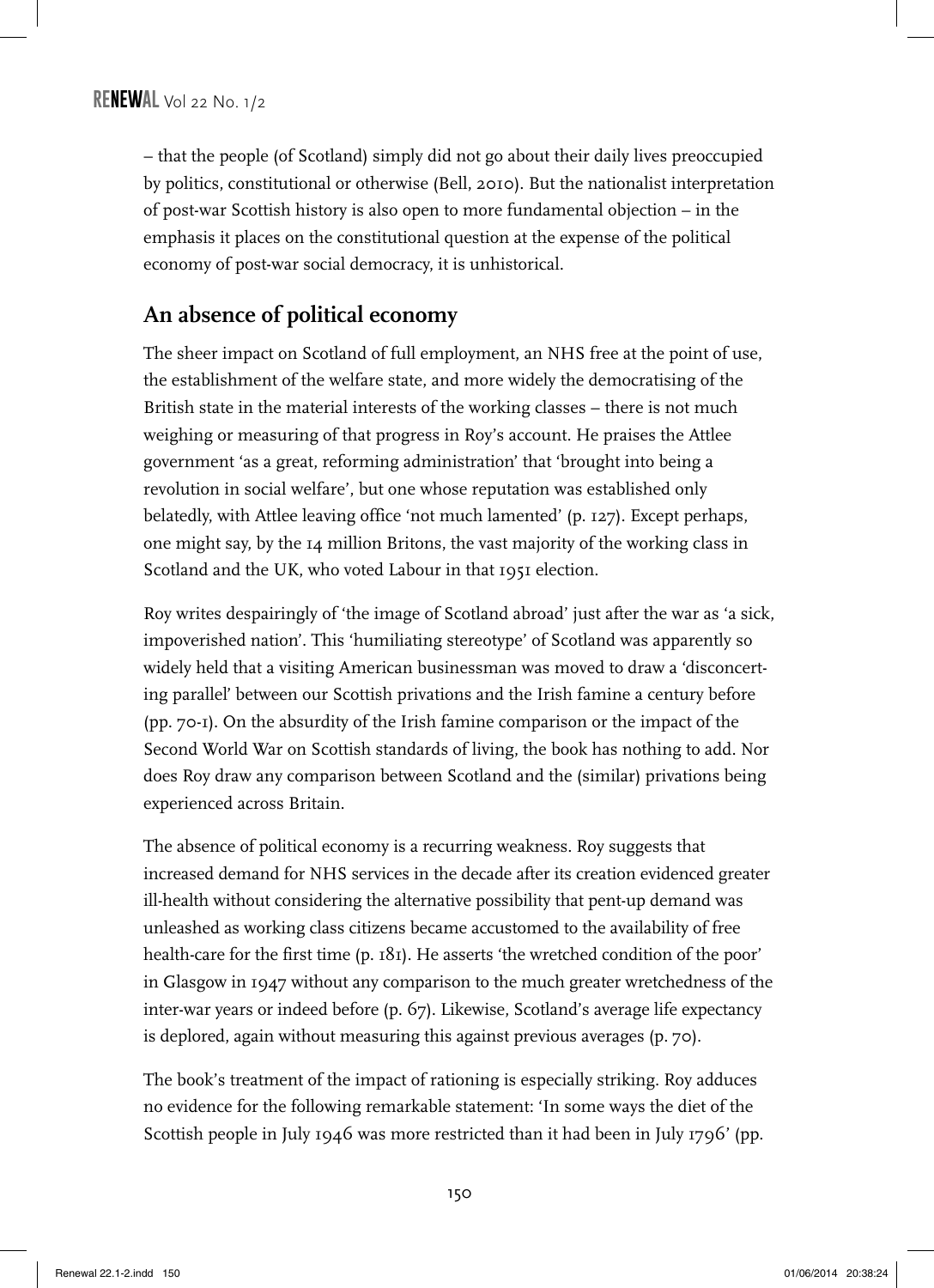– that the people (of Scotland) simply did not go about their daily lives preoccupied by politics, constitutional or otherwise (Bell, 2010). But the nationalist interpretation of post-war Scottish history is also open to more fundamental objection – in the emphasis it places on the constitutional question at the expense of the political economy of post-war social democracy, it is unhistorical.

## **An absence of political economy**

The sheer impact on Scotland of full employment, an NHS free at the point of use, the establishment of the welfare state, and more widely the democratising of the British state in the material interests of the working classes – there is not much weighing or measuring of that progress in Roy's account. He praises the Attlee government 'as a great, reforming administration' that 'brought into being a revolution in social welfare', but one whose reputation was established only belatedly, with Attlee leaving office 'not much lamented' (p. 127). Except perhaps, one might say, by the 14 million Britons, the vast majority of the working class in Scotland and the UK, who voted Labour in that 1951 election.

Roy writes despairingly of 'the image of Scotland abroad' just after the war as 'a sick, impoverished nation'. This 'humiliating stereotype' of Scotland was apparently so widely held that a visiting American businessman was moved to draw a 'disconcerting parallel' between our Scottish privations and the Irish famine a century before (pp. 70-1). On the absurdity of the Irish famine comparison or the impact of the Second World War on Scottish standards of living, the book has nothing to add. Nor does Roy draw any comparison between Scotland and the (similar) privations being experienced across Britain.

The absence of political economy is a recurring weakness. Roy suggests that increased demand for NHS services in the decade after its creation evidenced greater ill-health without considering the alternative possibility that pent-up demand was unleashed as working class citizens became accustomed to the availability of free health-care for the first time (p. 181). He asserts 'the wretched condition of the poor' in Glasgow in 1947 without any comparison to the much greater wretchedness of the inter-war years or indeed before (p. 67). Likewise, Scotland's average life expectancy is deplored, again without measuring this against previous averages (p. 70).

The book's treatment of the impact of rationing is especially striking. Roy adduces no evidence for the following remarkable statement: 'In some ways the diet of the Scottish people in July 1946 was more restricted than it had been in July 1796' (pp.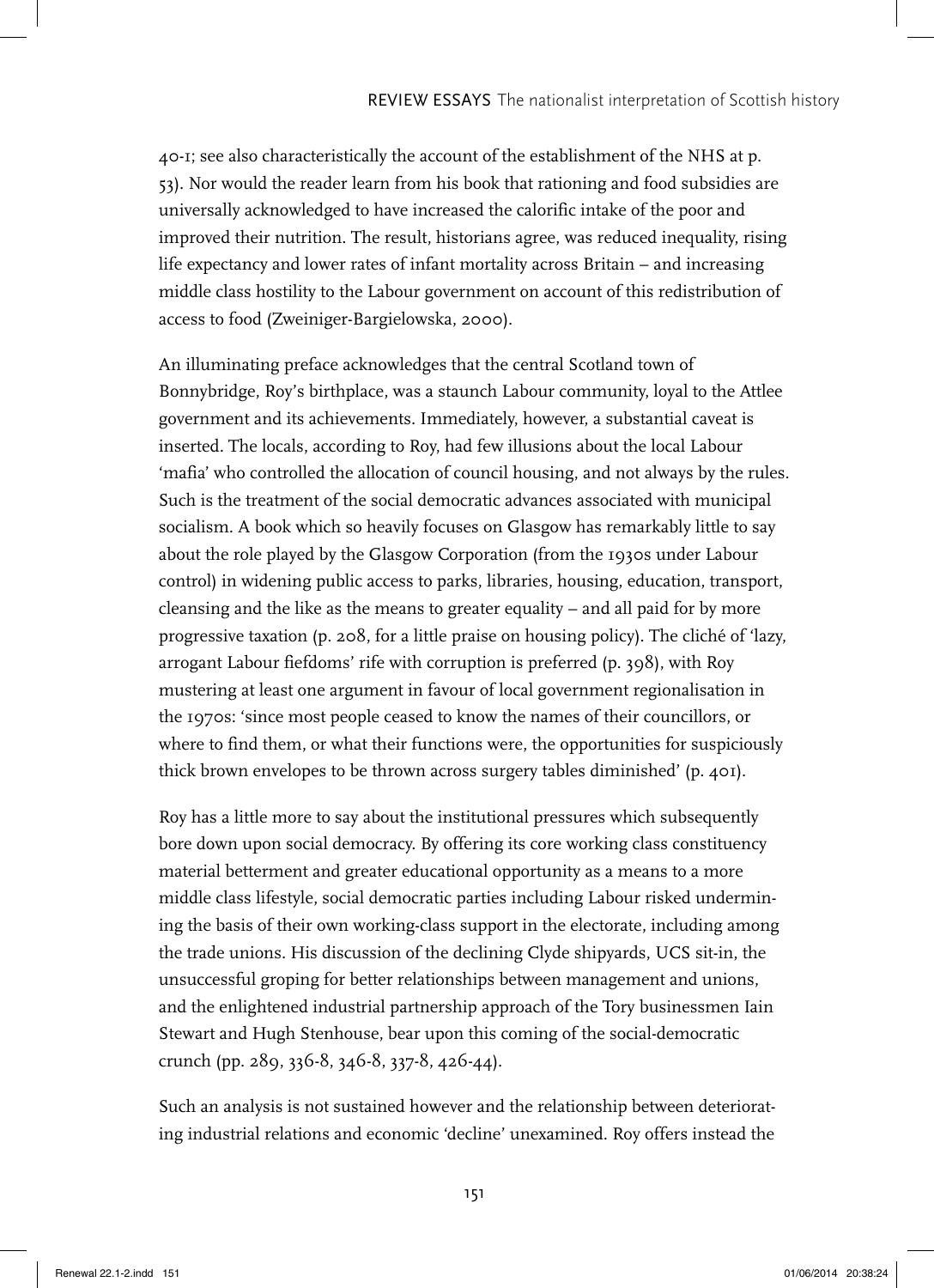40-1; see also characteristically the account of the establishment of the NHS at p. 53). Nor would the reader learn from his book that rationing and food subsidies are universally acknowledged to have increased the calorific intake of the poor and improved their nutrition. The result, historians agree, was reduced inequality, rising life expectancy and lower rates of infant mortality across Britain – and increasing middle class hostility to the Labour government on account of this redistribution of access to food (Zweiniger-Bargielowska, 2000).

An illuminating preface acknowledges that the central Scotland town of Bonnybridge, Roy's birthplace, was a staunch Labour community, loyal to the Attlee government and its achievements. Immediately, however, a substantial caveat is inserted. The locals, according to Roy, had few illusions about the local Labour 'mafia' who controlled the allocation of council housing, and not always by the rules. Such is the treatment of the social democratic advances associated with municipal socialism. A book which so heavily focuses on Glasgow has remarkably little to say about the role played by the Glasgow Corporation (from the 1930s under Labour control) in widening public access to parks, libraries, housing, education, transport, cleansing and the like as the means to greater equality – and all paid for by more progressive taxation (p. 208, for a little praise on housing policy). The cliché of 'lazy, arrogant Labour fiefdoms' rife with corruption is preferred (p. 398), with Roy mustering at least one argument in favour of local government regionalisation in the 1970s: 'since most people ceased to know the names of their councillors, or where to find them, or what their functions were, the opportunities for suspiciously thick brown envelopes to be thrown across surgery tables diminished' (p. 401).

Roy has a little more to say about the institutional pressures which subsequently bore down upon social democracy. By offering its core working class constituency material betterment and greater educational opportunity as a means to a more middle class lifestyle, social democratic parties including Labour risked undermining the basis of their own working-class support in the electorate, including among the trade unions. His discussion of the declining Clyde shipyards, UCS sit-in, the unsuccessful groping for better relationships between management and unions, and the enlightened industrial partnership approach of the Tory businessmen Iain Stewart and Hugh Stenhouse, bear upon this coming of the social-democratic crunch (pp. 289, 336-8, 346-8, 337-8, 426-44).

Such an analysis is not sustained however and the relationship between deteriorating industrial relations and economic 'decline' unexamined. Roy offers instead the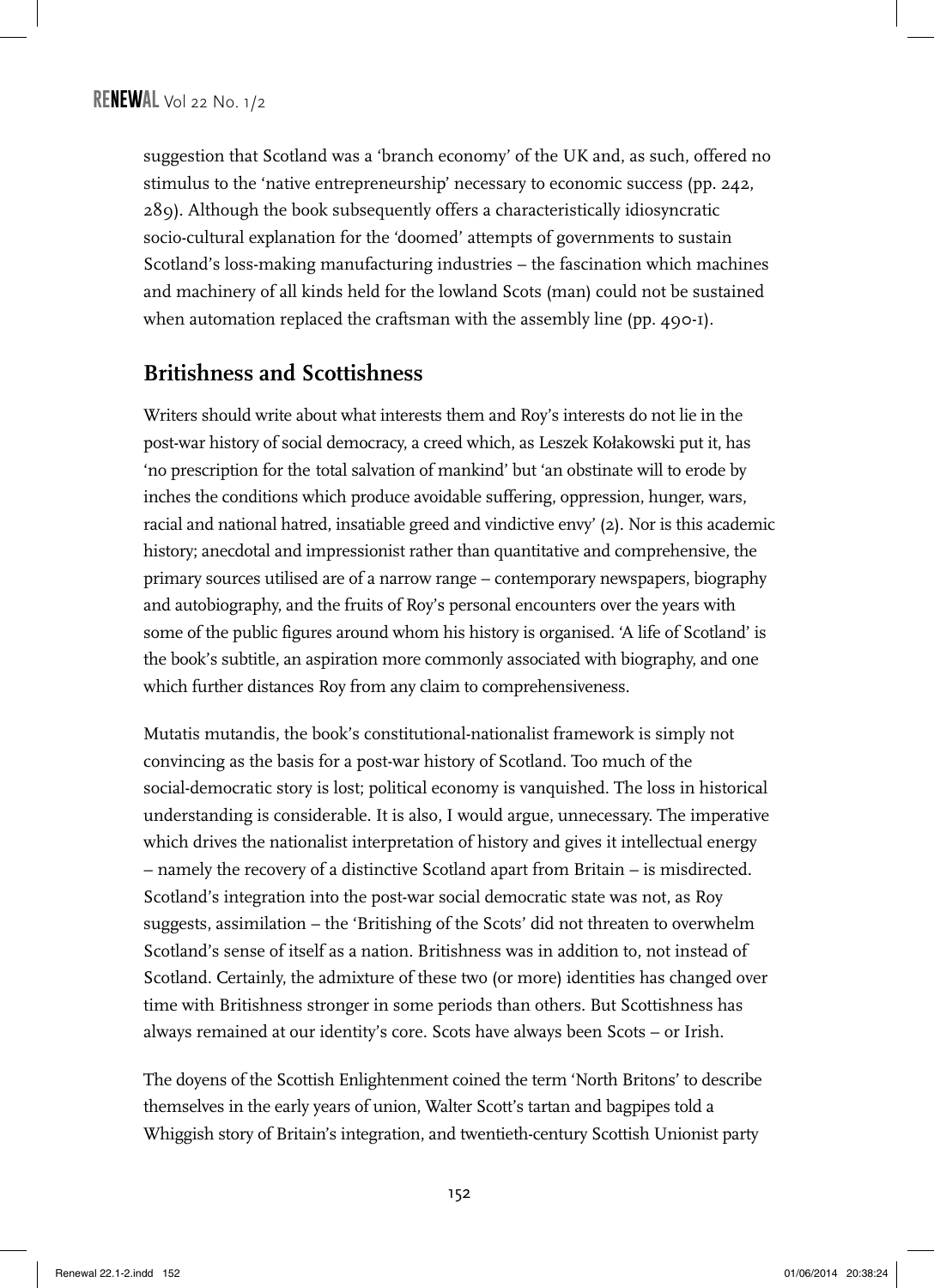suggestion that Scotland was a 'branch economy' of the UK and, as such, offered no stimulus to the 'native entrepreneurship' necessary to economic success (pp. 242, 289). Although the book subsequently offers a characteristically idiosyncratic socio-cultural explanation for the 'doomed' attempts of governments to sustain Scotland's loss-making manufacturing industries – the fascination which machines and machinery of all kinds held for the lowland Scots (man) could not be sustained when automation replaced the craftsman with the assembly line (pp. 490-1).

#### **Britishness and Scottishness**

Writers should write about what interests them and Roy's interests do not lie in the post-war history of social democracy, a creed which, as Leszek Kołakowski put it, has 'no prescription for the total salvation of mankind' but 'an obstinate will to erode by inches the conditions which produce avoidable suffering, oppression, hunger, wars, racial and national hatred, insatiable greed and vindictive envy' (2). Nor is this academic history; anecdotal and impressionist rather than quantitative and comprehensive, the primary sources utilised are of a narrow range – contemporary newspapers, biography and autobiography, and the fruits of Roy's personal encounters over the years with some of the public figures around whom his history is organised. 'A life of Scotland' is the book's subtitle, an aspiration more commonly associated with biography, and one which further distances Roy from any claim to comprehensiveness.

Mutatis mutandis, the book's constitutional-nationalist framework is simply not convincing as the basis for a post-war history of Scotland. Too much of the social-democratic story is lost; political economy is vanquished. The loss in historical understanding is considerable. It is also, I would argue, unnecessary. The imperative which drives the nationalist interpretation of history and gives it intellectual energy – namely the recovery of a distinctive Scotland apart from Britain – is misdirected. Scotland's integration into the post-war social democratic state was not, as Roy suggests, assimilation – the 'Britishing of the Scots' did not threaten to overwhelm Scotland's sense of itself as a nation. Britishness was in addition to, not instead of Scotland. Certainly, the admixture of these two (or more) identities has changed over time with Britishness stronger in some periods than others. But Scottishness has always remained at our identity's core. Scots have always been Scots – or Irish.

The doyens of the Scottish Enlightenment coined the term 'North Britons' to describe themselves in the early years of union, Walter Scott's tartan and bagpipes told a Whiggish story of Britain's integration, and twentieth-century Scottish Unionist party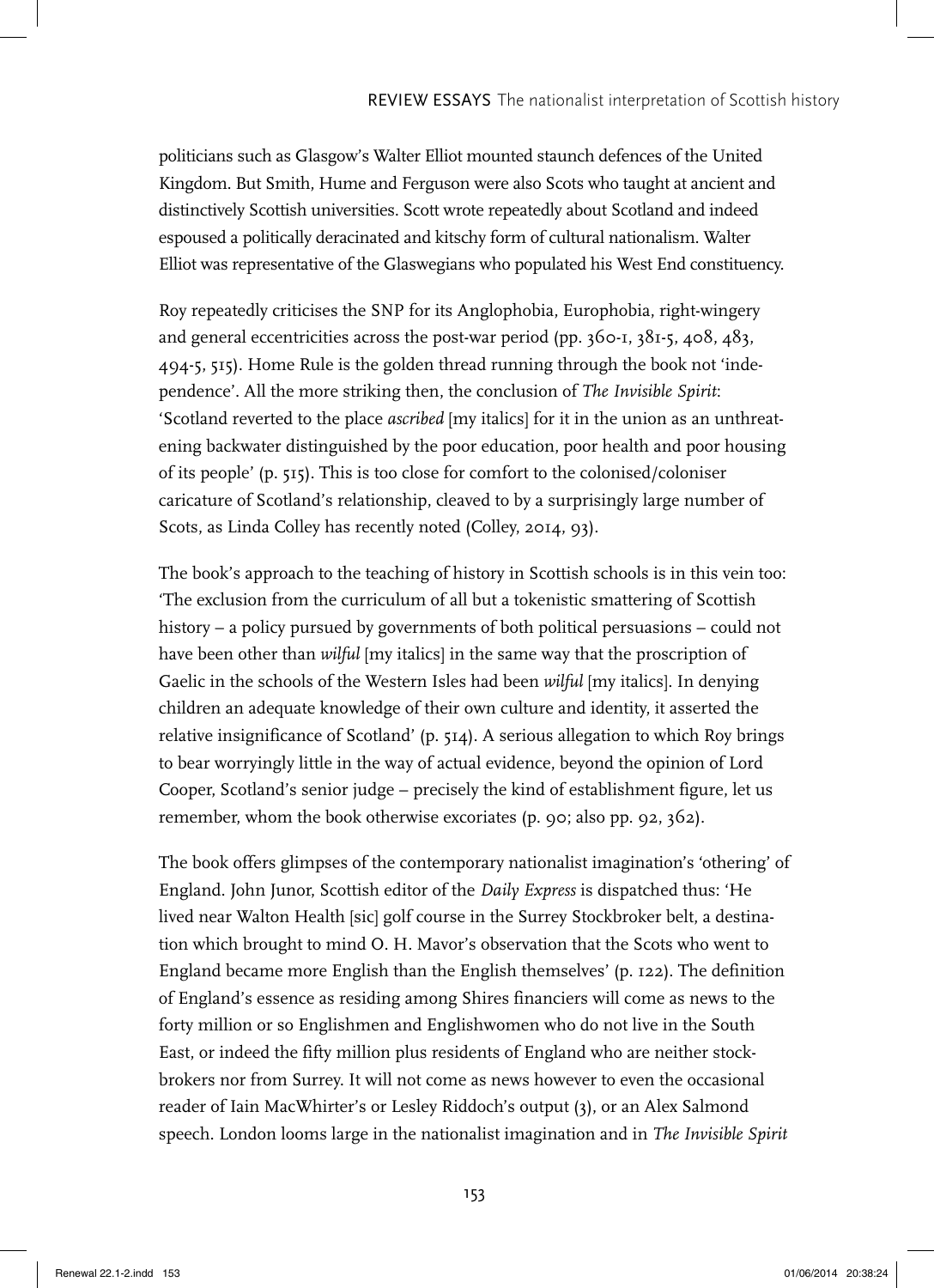politicians such as Glasgow's Walter Elliot mounted staunch defences of the United Kingdom. But Smith, Hume and Ferguson were also Scots who taught at ancient and distinctively Scottish universities. Scott wrote repeatedly about Scotland and indeed espoused a politically deracinated and kitschy form of cultural nationalism. Walter Elliot was representative of the Glaswegians who populated his West End constituency.

Roy repeatedly criticises the SNP for its Anglophobia, Europhobia, right-wingery and general eccentricities across the post-war period (pp. 360-1, 381-5, 408, 483, 494-5, 515). Home Rule is the golden thread running through the book not 'independence'. All the more striking then, the conclusion of *The Invisible Spirit*: 'Scotland reverted to the place *ascribed* [my italics] for it in the union as an unthreatening backwater distinguished by the poor education, poor health and poor housing of its people' (p. 515). This is too close for comfort to the colonised/coloniser caricature of Scotland's relationship, cleaved to by a surprisingly large number of Scots, as Linda Colley has recently noted (Colley, 2014, 93).

The book's approach to the teaching of history in Scottish schools is in this vein too: 'The exclusion from the curriculum of all but a tokenistic smattering of Scottish history – a policy pursued by governments of both political persuasions – could not have been other than *wilful* [my italics] in the same way that the proscription of Gaelic in the schools of the Western Isles had been *wilful* [my italics]. In denying children an adequate knowledge of their own culture and identity, it asserted the relative insignificance of Scotland' (p.  $514$ ). A serious allegation to which Roy brings to bear worryingly little in the way of actual evidence, beyond the opinion of Lord Cooper, Scotland's senior judge – precisely the kind of establishment figure, let us remember, whom the book otherwise excoriates (p. 90; also pp. 92, 362).

The book offers glimpses of the contemporary nationalist imagination's 'othering' of England. John Junor, Scottish editor of the *Daily Express* is dispatched thus: 'He lived near Walton Health [sic] golf course in the Surrey Stockbroker belt, a destination which brought to mind O. H. Mavor's observation that the Scots who went to England became more English than the English themselves' (p. 122). The definition of England's essence as residing among Shires financiers will come as news to the forty million or so Englishmen and Englishwomen who do not live in the South East, or indeed the fifty million plus residents of England who are neither stockbrokers nor from Surrey. It will not come as news however to even the occasional reader of Iain MacWhirter's or Lesley Riddoch's output (3), or an Alex Salmond speech. London looms large in the nationalist imagination and in *The Invisible Spirit*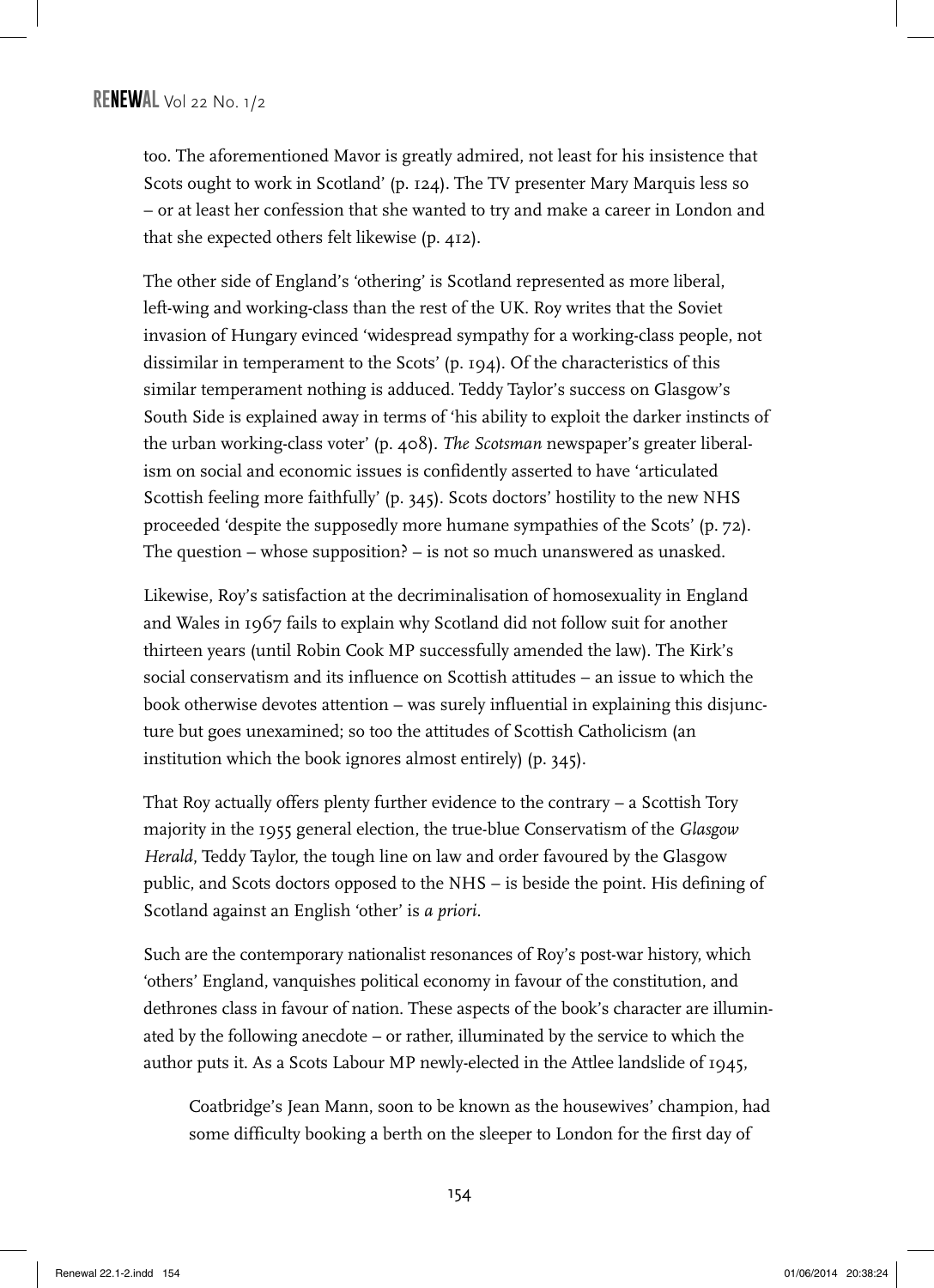too. The aforementioned Mavor is greatly admired, not least for his insistence that Scots ought to work in Scotland' (p. 124). The TV presenter Mary Marquis less so – or at least her confession that she wanted to try and make a career in London and that she expected others felt likewise (p. 412).

The other side of England's 'othering' is Scotland represented as more liberal, left-wing and working-class than the rest of the UK. Roy writes that the Soviet invasion of Hungary evinced 'widespread sympathy for a working-class people, not dissimilar in temperament to the Scots' (p. 194). Of the characteristics of this similar temperament nothing is adduced. Teddy Taylor's success on Glasgow's South Side is explained away in terms of 'his ability to exploit the darker instincts of the urban working-class voter' (p. 408). *The Scotsman* newspaper's greater liberalism on social and economic issues is confidently asserted to have 'articulated Scottish feeling more faithfully' (p. 345). Scots doctors' hostility to the new NHS proceeded 'despite the supposedly more humane sympathies of the Scots' (p. 72). The question – whose supposition? – is not so much unanswered as unasked.

Likewise, Roy's satisfaction at the decriminalisation of homosexuality in England and Wales in 1967 fails to explain why Scotland did not follow suit for another thirteen years (until Robin Cook MP successfully amended the law). The Kirk's social conservatism and its influence on Scottish attitudes – an issue to which the book otherwise devotes attention – was surely influential in explaining this disjuncture but goes unexamined; so too the attitudes of Scottish Catholicism (an institution which the book ignores almost entirely) (p. 345).

That Roy actually offers plenty further evidence to the contrary – a Scottish Tory majority in the 1955 general election, the true-blue Conservatism of the *Glasgow Herald*, Teddy Taylor, the tough line on law and order favoured by the Glasgow public, and Scots doctors opposed to the NHS – is beside the point. His defining of Scotland against an English 'other' is *a priori.*

Such are the contemporary nationalist resonances of Roy's post-war history, which 'others' England, vanquishes political economy in favour of the constitution, and dethrones class in favour of nation. These aspects of the book's character are illuminated by the following anecdote – or rather, illuminated by the service to which the author puts it. As a Scots Labour MP newly-elected in the Attlee landslide of 1945,

Coatbridge's Jean Mann, soon to be known as the housewives' champion, had some difficulty booking a berth on the sleeper to London for the first day of